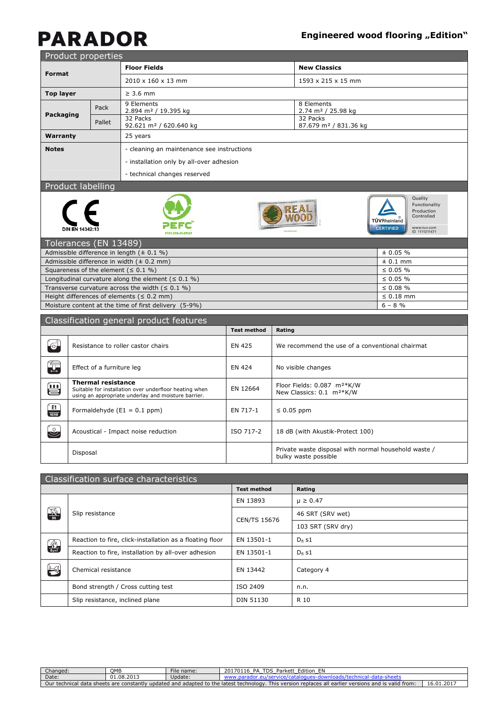### **Engineered wood flooring "Edition"**

# **PARADOR**

| Product properties                                                  |                                                                                                                                            |      |                                                                                          |                    |                                  |                                                                                  |                                                                                                                          |  |
|---------------------------------------------------------------------|--------------------------------------------------------------------------------------------------------------------------------------------|------|------------------------------------------------------------------------------------------|--------------------|----------------------------------|----------------------------------------------------------------------------------|--------------------------------------------------------------------------------------------------------------------------|--|
| <b>Format</b>                                                       |                                                                                                                                            |      | <b>Floor Fields</b>                                                                      |                    |                                  | <b>New Classics</b>                                                              |                                                                                                                          |  |
|                                                                     |                                                                                                                                            |      | 2010 x 160 x 13 mm                                                                       |                    |                                  | 1593 x 215 x 15 mm                                                               |                                                                                                                          |  |
| <b>Top layer</b>                                                    |                                                                                                                                            |      | $\geq 3.6$ mm                                                                            |                    |                                  |                                                                                  |                                                                                                                          |  |
|                                                                     |                                                                                                                                            | Pack | 9 Elements<br>2.894 m <sup>2</sup> / 19.395 kg                                           |                    |                                  | 8 Elements                                                                       |                                                                                                                          |  |
| Packaging                                                           | Pallet                                                                                                                                     |      | 32 Packs<br>92.621 m <sup>2</sup> / 620.640 kg                                           |                    |                                  | 2.74 m <sup>2</sup> / 25.98 kg<br>32 Packs<br>87.679 m <sup>2</sup> / 831.36 kg  |                                                                                                                          |  |
| Warranty                                                            |                                                                                                                                            |      | 25 years                                                                                 |                    |                                  |                                                                                  |                                                                                                                          |  |
| <b>Notes</b>                                                        |                                                                                                                                            |      | - cleaning an maintenance see instructions                                               |                    |                                  |                                                                                  |                                                                                                                          |  |
|                                                                     |                                                                                                                                            |      | - installation only by all-over adhesion                                                 |                    |                                  |                                                                                  |                                                                                                                          |  |
|                                                                     |                                                                                                                                            |      | - technical changes reserved                                                             |                    |                                  |                                                                                  |                                                                                                                          |  |
|                                                                     | Product labelling                                                                                                                          |      |                                                                                          |                    |                                  |                                                                                  |                                                                                                                          |  |
|                                                                     | <b>DIN EN 14342:1</b>                                                                                                                      |      |                                                                                          |                    |                                  |                                                                                  | Quality<br>Functionality<br>Production<br>Controlled<br>TÜVRheinland<br><b>CERTIFIED</b><br>www.tuv.com<br>ID 1111211471 |  |
|                                                                     | Tolerances (EN 13489)                                                                                                                      |      |                                                                                          |                    |                                  |                                                                                  |                                                                                                                          |  |
|                                                                     |                                                                                                                                            |      | Admissible difference in length ( $\pm$ 0.1 %)                                           |                    |                                  | ± 0.05 %                                                                         |                                                                                                                          |  |
|                                                                     |                                                                                                                                            |      | Admissible difference in width $(± 0.2 mm)$<br>Squareness of the element ( $\leq 0.1$ %) |                    |                                  | $± 0.1$ mm<br>$\leq 0.05 \%$                                                     |                                                                                                                          |  |
|                                                                     |                                                                                                                                            |      | Longitudinal curvature along the element ( $\leq 0.1$ %)                                 |                    | $\leq 0.05 \%$                   |                                                                                  |                                                                                                                          |  |
|                                                                     |                                                                                                                                            |      | Transverse curvature across the width $( \leq 0.1 \%)$                                   |                    |                                  |                                                                                  | $\leq 0.08 \%$                                                                                                           |  |
|                                                                     |                                                                                                                                            |      | Height differences of elements ( $\leq 0.2$ mm)                                          |                    |                                  |                                                                                  | $\leq 0.18$ mm                                                                                                           |  |
| Moisture content at the time of first delivery (5-9%)<br>$6 - 8 \%$ |                                                                                                                                            |      |                                                                                          |                    |                                  |                                                                                  |                                                                                                                          |  |
|                                                                     |                                                                                                                                            |      | Classification general product features                                                  |                    |                                  |                                                                                  |                                                                                                                          |  |
|                                                                     |                                                                                                                                            |      |                                                                                          | <b>Test method</b> | Rating                           |                                                                                  |                                                                                                                          |  |
|                                                                     |                                                                                                                                            |      | Resistance to roller castor chairs                                                       | <b>EN 425</b>      |                                  | We recommend the use of a conventional chairmat                                  |                                                                                                                          |  |
| Ţ                                                                   | Effect of a furniture leg                                                                                                                  |      |                                                                                          | <b>EN 424</b>      |                                  | No visible changes                                                               |                                                                                                                          |  |
| 兽                                                                   | <b>Thermal resistance</b><br>Suitable for installation over underfloor heating when<br>using an appropriate underlay and moisture barrier. |      |                                                                                          | EN 12664           |                                  | Floor Fields: 0.087 m <sup>2*</sup> K/W<br>New Classics: 0.1 m <sup>2*</sup> K/W |                                                                                                                          |  |
| E1<br>HCHO                                                          |                                                                                                                                            |      | Formaldehyde $(E1 = 0.1$ ppm)                                                            | EN 717-1           | $\leq 0.05$ ppm                  |                                                                                  |                                                                                                                          |  |
| $\mathbb{S}$                                                        |                                                                                                                                            |      | Acoustical - Impact noise reduction                                                      | ISO 717-2          | 18 dB (with Akustik-Protect 100) |                                                                                  |                                                                                                                          |  |
|                                                                     | Disposal                                                                                                                                   |      |                                                                                          |                    |                                  | Private waste disposal with normal household waste /<br>bulky waste possible     |                                                                                                                          |  |

| Classification surface characteristics |                                                          |                    |                   |  |  |
|----------------------------------------|----------------------------------------------------------|--------------------|-------------------|--|--|
|                                        |                                                          | <b>Test method</b> | Rating            |  |  |
| <b>AND</b>                             |                                                          | EN 13893           | $\mu \ge 0.47$    |  |  |
|                                        | Slip resistance                                          | CEN/TS 15676       | 46 SRT (SRV wet)  |  |  |
|                                        |                                                          |                    | 103 SRT (SRV dry) |  |  |
| $\frac{d\Lambda}{d\Omega}$             | Reaction to fire, click-installation as a floating floor | EN 13501-1         | $D_{fl}$ s1       |  |  |
|                                        | Reaction to fire, installation by all-over adhesion      | EN 13501-1         | $D_{fl}$ s1       |  |  |
| $\bigoplus$                            | Chemical resistance                                      | EN 13442           | Category 4        |  |  |
|                                        | Bond strength / Cross cutting test                       | ISO 2409           | n.n.              |  |  |
|                                        | Slip resistance, inclined plane                          | DIN 51130          | R 10              |  |  |

| Changed:                                                                                                                                                           | OMB        | File name: | Edition EN<br>20170116<br>PA<br>TDS Parkett |  |  |
|--------------------------------------------------------------------------------------------------------------------------------------------------------------------|------------|------------|---------------------------------------------|--|--|
| Date:                                                                                                                                                              | 01.08.2013 | Update:    | data-sheet:<br>$\sim$                       |  |  |
| 16.01.2017<br>Our technical data sheets are constantly updated and adapted to the latest technology. This version replaces all earlier versions and is valid from: |            |            |                                             |  |  |